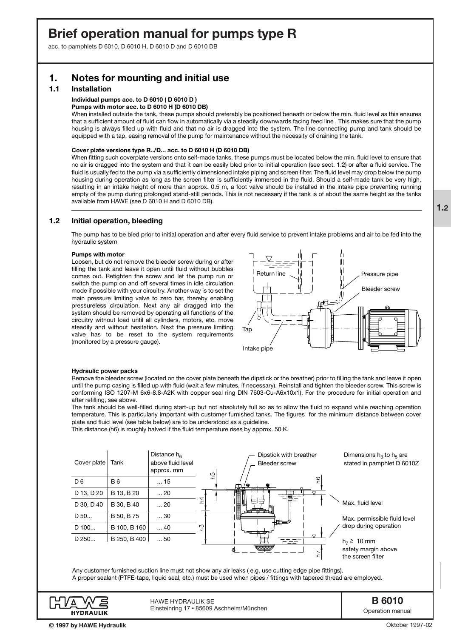# **Brief operation manual for pumps type R**

acc. to pamphlets D 6010, D 6010 H, D 6010 D and D 6010 DB

## **1. Notes for mounting and initial use**

### **1.1 Installation**

### **Individual pumps acc. to D 6010 ( D 6010 D )**

### **Pumps with motor acc. to D 6010 H (D 6010 DB)**

When installed outside the tank, these pumps should preferably be positioned beneath or below the min. fluid level as this ensures that a sufficient amount of fluid can flow in automatically via a steadily downwards facing feed line . This makes sure that the pump housing is always filled up with fluid and that no air is dragged into the system. The line connecting pump and tank should be equipped with a tap, easing removal of the pump for maintenance without the necessity of draining the tank.

#### **Cover plate versions type R../D... acc. to D 6010 H (D 6010 DB)**

When fitting such coverplate versions onto self-made tanks, these pumps must be located below the min. fluid level to ensure that no air is dragged into the system and that it can be easily bled prior to initial operation (see sect. 1.2) or after a fluid service. The fluid is usually fed to the pump via a sufficiently dimensioned intake piping and screen filter. The fluid level may drop below the pump housing during operation as long as the screen filter is sufficiently immersed in the fluid. Should a self-made tank be very high, resulting in an intake height of more than approx. 0.5 m, a foot valve should be installed in the intake pipe preventing running empty of the pump during prolonged stand-still periods. This is not necessary if the tank is of about the same height as the tanks available from HAWE (see D 6010 H and D 6010 DB).

### **1.2 Initial operation, bleeding**

The pump has to be bled prior to initial operation and after every fluid service to prevent intake problems and air to be fed into the hydraulic system

#### **Pumps with motor**

Loosen, but do not remove the bleeder screw during or after filling the tank and leave it open until fluid without bubbles comes out. Retighten the screw and let the pump run or switch the pump on and off several times in idle circulation mode if possible with your circuitry. Another way is to set the main pressure limiting valve to zero bar, thereby enabling pressureless circulation. Next any air dragged into the system should be removed by operating all functions of the circuitry without load until all cylinders, motors, etc. move steadily and without hesitation. Next the pressure limiting valve has to be reset to the system requirements (monitored by a pressure gauge).



#### **Hydraulic power packs**

Remove the bleeder screw (located on the cover plate beneath the dipstick or the breather) prior to filling the tank and leave it open until the pump casing is filled up with fluid (wait a few minutes, if necessary). Reinstall and tighten the bleeder screw. This screw is conforming ISO 1207-M 6x6-8.8-A2K with copper seal ring DIN 7603-Cu-A6x10x1). For the procedure for initial operation and after refilling, see above.

The tank should be well-filled during start-up but not absolutely full so as to allow the fluid to expand while reaching operation temperature. This is particularly important with customer furnished tanks. The figures for the minimum distance between cover plate and fluid level (see table below) are to be understood as a guideline.

This distance (h6) is roughly halved if the fluid temperature rises by approx. 50 K.



Any customer furnished suction line must not show any air leaks ( e.g. use cutting edge pipe fittings). A proper sealant (PTFE-tape, liquid seal, etc.) must be used when pipes / fittings with tapered thread are employed.



HAWE HYDRAULIK SE Einsteinring 17 • 85609 Aschheim/München **B 6010**

Operation manual

Oktober 1997-02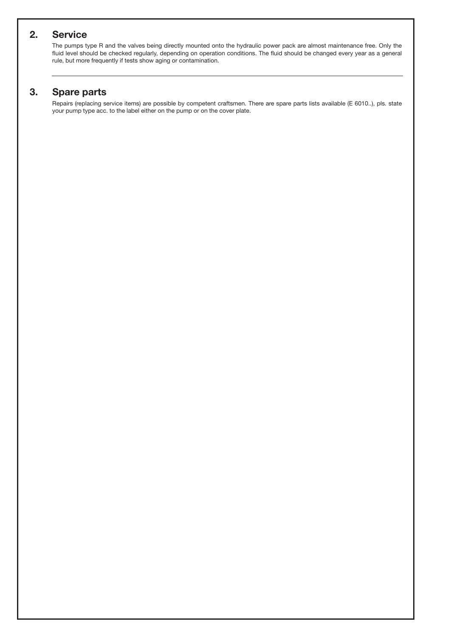## **2. Service**

The pumps type R and the valves being directly mounted onto the hydraulic power pack are almost maintenance free. Only the fluid level should be checked regularly, depending on operation conditions. The fluid should be changed every year as a general rule, but more frequently if tests show aging or contamination.

## **3. Spare parts**

Repairs (replacing service items) are possible by competent craftsmen. There are spare parts lists available (E 6010..), pls. state your pump type acc. to the label either on the pump or on the cover plate.